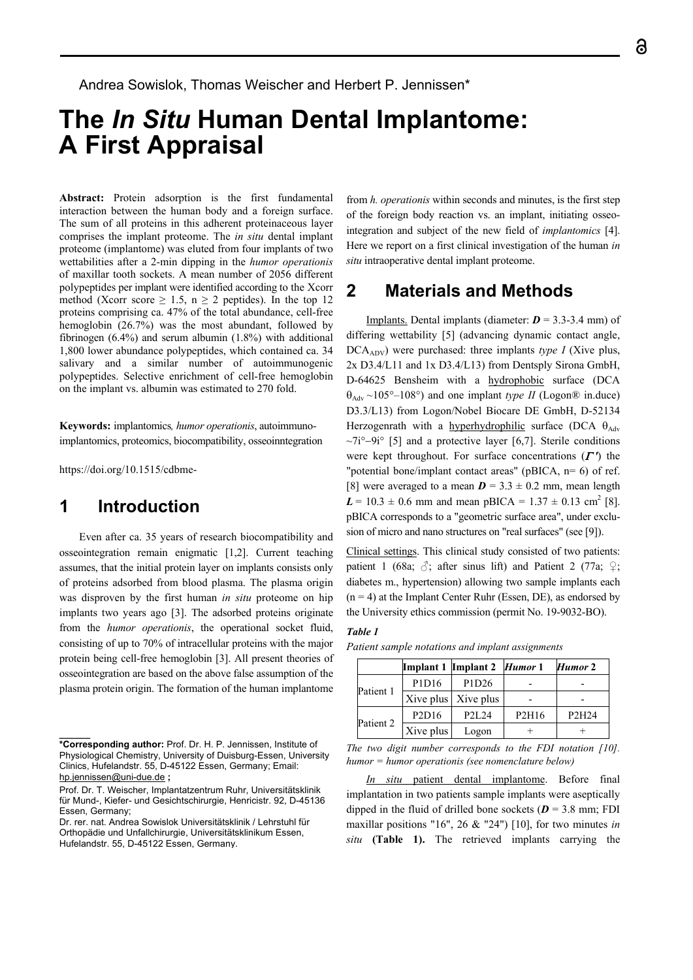Andrea Sowislok, Thomas Weischer and Herbert P. Jennissen\*

# **The** *In Situ* **Human Dental Implantome: A First Appraisal**

**Abstract:** Protein adsorption is the first fundamental interaction between the human body and a foreign surface. The sum of all proteins in this adherent proteinaceous layer comprises the implant proteome. The *in situ* dental implant proteome (implantome) was eluted from four implants of two wettabilities after a 2-min dipping in the *humor operationis* of maxillar tooth sockets. A mean number of 2056 different polypeptides per implant were identified according to the Xcorr method (Xcorr score  $\geq 1.5$ ,  $n \geq 2$  peptides). In the top 12 proteins comprising ca. 47% of the total abundance, cell-free hemoglobin (26.7%) was the most abundant, followed by fibrinogen (6.4%) and serum albumin (1.8%) with additional 1,800 lower abundance polypeptides, which contained ca. 34 salivary and a similar number of autoimmunogenic polypeptides. Selective enrichment of cell-free hemoglobin on the implant vs. albumin was estimated to 270 fold.

**Keywords:** implantomics*, humor operationis*, autoimmunoimplantomics, proteomics, biocompatibility, osseoinntegration

https://doi.org/10.1515/cdbme-

# **1 Introduction**

**\_\_\_\_\_\_** 

Even after ca. 35 years of research biocompatibility and osseointegration remain enigmatic [1,2]. Current teaching assumes, that the initial protein layer on implants consists only of proteins adsorbed from blood plasma. The plasma origin was disproven by the first human *in situ* proteome on hip implants two years ago [3]. The adsorbed proteins originate from the *humor operationis*, the operational socket fluid, consisting of up to 70% of intracellular proteins with the major protein being cell-free hemoglobin [3]. All present theories of osseointegration are based on the above false assumption of the plasma protein origin. The formation of the human implantome

from *h. operationis* within seconds and minutes, is the first step of the foreign body reaction vs. an implant, initiating osseointegration and subject of the new field of *implantomics* [4]. Here we report on a first clinical investigation of the human *in situ* intraoperative dental implant proteome.

# **2 Materials and Methods**

Implants. Dental implants (diameter:  $D = 3.3-3.4$  mm) of differing wettability [5] (advancing dynamic contact angle, DCAADV) were purchased: three implants *type I* (Xive plus, 2x D3.4/L11 and 1x D3.4/L13) from Dentsply Sirona GmbH, D-64625 Bensheim with a hydrophobic surface (DCA  $\theta_{\text{Adv}} \sim 105^{\circ} - 108^{\circ}$  and one implant *type II* (Logon<sup>®</sup> in.duce) D3.3/L13) from Logon/Nobel Biocare DE GmbH, D-52134 Herzogenrath with a hyperhydrophilic surface (DCA  $\theta_{Adv}$ )  $\sim$ 7i°–9i° [5] and a protective layer [6,7]. Sterile conditions were kept throughout. For surface concentrations  $(\Gamma')$  the "potential bone/implant contact areas" (pBICA, n= 6) of ref. [8] were averaged to a mean  $D = 3.3 \pm 0.2$  mm, mean length  $L = 10.3 \pm 0.6$  mm and mean pBICA =  $1.37 \pm 0.13$  cm<sup>2</sup> [8]. pBICA corresponds to a "geometric surface area", under exclusion of micro and nano structures on "real surfaces" (see [9]).

Clinical settings. This clinical study consisted of two patients: patient 1 (68a;  $\delta$ ; after sinus lift) and Patient 2 (77a;  $\varphi$ ; diabetes m., hypertension) allowing two sample implants each  $(n = 4)$  at the Implant Center Ruhr (Essen, DE), as endorsed by the University ethics commission (permit No. 19-9032-BO).

### *Table 1*

*Patient sample notations and implant assignments*

|           |                                | Implant 1 Implant 2 <i>Humor</i> 1 |       | Humor 2                        |
|-----------|--------------------------------|------------------------------------|-------|--------------------------------|
| Patient 1 | P1D16                          | P <sub>1</sub> D <sub>26</sub>     |       |                                |
|           |                                | Xive plus Xive plus                |       |                                |
| Patient 2 | P <sub>2</sub> D <sub>16</sub> | P <sub>2</sub> I <sub>24</sub>     | P2H16 | P <sub>2</sub> H <sub>24</sub> |
|           | Xive plus                      | Logon                              |       |                                |

*The two digit number corresponds to the FDI notation [10]. humor = humor operationis (see nomenclature below)* 

*In situ* patient dental implantome. Before final implantation in two patients sample implants were aseptically dipped in the fluid of drilled bone sockets ( $D = 3.8$  mm; FDI maxillar positions "16", 26 & "24") [10], for two minutes *in situ* **(Table 1).** The retrieved implants carrying the

**<sup>\*</sup>Corresponding author:** Prof. Dr. H. P. Jennissen, Institute of Physiological Chemistry, University of Duisburg-Essen, University Clinics, Hufelandstr. 55, D-45122 Essen, Germany; Email: hp.jennissen@uni-due.de **;** 

Prof. Dr. T. Weischer, Implantatzentrum Ruhr, Universitätsklinik für Mund-, Kiefer- und Gesichtschirurgie, Henricistr. 92, D-45136 Essen, Germany;

Dr. rer. nat. Andrea Sowislok Universitätsklinik / Lehrstuhl für Orthopädie und Unfallchirurgie, Universitätsklinikum Essen, Hufelandstr. 55, D-45122 Essen, Germany.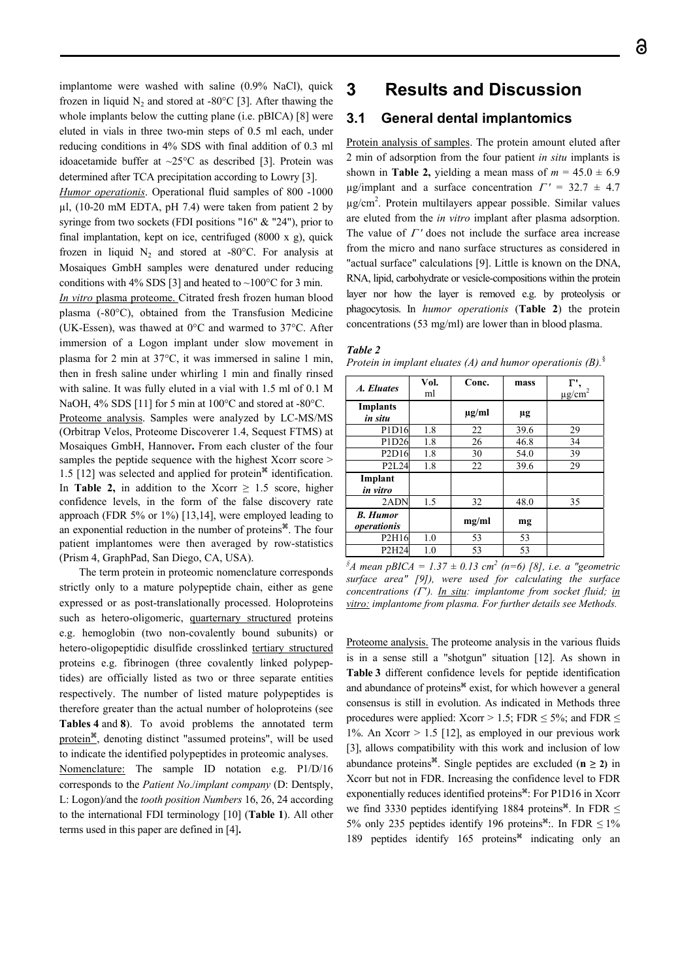implantome were washed with saline (0.9% NaCl), quick frozen in liquid  $N_2$  and stored at -80 $^{\circ}$ C [3]. After thawing the whole implants below the cutting plane (i.e. pBICA) [8] were eluted in vials in three two-min steps of 0.5 ml each, under reducing conditions in 4% SDS with final addition of 0.3 ml idoacetamide buffer at ~25°C as described [3]. Protein was determined after TCA precipitation according to Lowry [3].

*Humor operationis*. Operational fluid samples of 800 -1000 µl, (10-20 mM EDTA, pH 7.4) were taken from patient 2 by syringe from two sockets (FDI positions "16" & "24"), prior to final implantation, kept on ice, centrifuged (8000 x g), quick frozen in liquid  $N_2$  and stored at -80 $^{\circ}$ C. For analysis at Mosaiques GmbH samples were denatured under reducing conditions with 4% SDS [3] and heated to ~100 $^{\circ}$ C for 3 min.

*In vitro* plasma proteome. Citrated fresh frozen human blood plasma (-80°C), obtained from the Transfusion Medicine (UK-Essen), was thawed at 0°C and warmed to 37°C. After immersion of a Logon implant under slow movement in plasma for 2 min at 37°C, it was immersed in saline 1 min, then in fresh saline under whirling 1 min and finally rinsed with saline. It was fully eluted in a vial with 1.5 ml of 0.1 M NaOH,  $4\%$  SDS [11] for 5 min at 100°C and stored at -80°C.

Proteome analysis. Samples were analyzed by LC-MS/MS (Orbitrap Velos, Proteome Discoverer 1.4, Sequest FTMS) at Mosaiques GmbH, Hannover**.** From each cluster of the four samples the peptide sequence with the highest Xcorr score > 1.5 [12] was selected and applied for protein<sup> $*$ </sup> identification. In **Table 2,** in addition to the Xcorr  $\geq 1.5$  score, higher confidence levels, in the form of the false discovery rate approach (FDR 5% or 1%) [13,14], were employed leading to an exponential reduction in the number of proteins $\mathscr{F}$ . The four patient implantomes were then averaged by row-statistics (Prism 4, GraphPad, San Diego, CA, USA).

The term protein in proteomic nomenclature corresponds strictly only to a mature polypeptide chain, either as gene expressed or as post-translationally processed. Holoproteins such as hetero-oligomeric, quarternary structured proteins e.g. hemoglobin (two non-covalently bound subunits) or hetero-oligopeptidic disulfide crosslinked tertiary structured proteins e.g. fibrinogen (three covalently linked polypeptides) are officially listed as two or three separate entities respectively. The number of listed mature polypeptides is therefore greater than the actual number of holoproteins (see **Tables 4** and **8**). To avoid problems the annotated term protein $^*$ , denoting distinct "assumed proteins", will be used to indicate the identified polypeptides in proteomic analyses. Nomenclature: The sample ID notation e.g. P1/D/16 corresponds to the *Patient No*./*implant company* (D: Dentsply, L: Logon)/and the *tooth position Numbers* 16, 26, 24 according to the international FDI terminology [10] (**Table 1**). All other terms used in this paper are defined in [4]**.**

# **3 Results and Discussion**

## **3.1 General dental implantomics**

Protein analysis of samples. The protein amount eluted after 2 min of adsorption from the four patient *in situ* implants is shown in **Table 2,** yielding a mean mass of  $m = 45.0 \pm 6.9$  $\mu$ g/implant and a surface concentration  $\Gamma' = 32.7 \pm 4.7$ µg/cm2 . Protein multilayers appear possible. Similar values are eluted from the *in vitro* implant after plasma adsorption. The value of  $\Gamma'$  does not include the surface area increase from the micro and nano surface structures as considered in "actual surface" calculations [9]. Little is known on the DNA, RNA, lipid, carbohydrate or vesicle-compositions within the protein layer nor how the layer is removed e.g. by proteolysis or phagocytosis. In *humor operationis* (**Table 2**) the protein concentrations (53 mg/ml) are lower than in blood plasma.

### *Table 2*

*Protein in implant eluates (A) and humor operationis (B).*§

| A. Eluates                     | Vol.<br>ml | Conc.      | mass    | г.<br>$\mu$ g/cm <sup>2</sup> |
|--------------------------------|------------|------------|---------|-------------------------------|
| <b>Implants</b><br>in situ     |            | $\mu$ g/ml | $\mu$ g |                               |
| P1D16                          | 1.8        | 22         | 39.6    | 29                            |
| P1D26                          | 1.8        | 26         | 46.8    | 34                            |
| P2D16                          | 1.8        | 30         | 54.0    | 39                            |
| P2L24                          | 1.8        | 22         | 39.6    | 29                            |
| Implant<br>in vitro            |            |            |         |                               |
| 2ADN                           | 1.5        | 32         | 48.0    | 35                            |
| <b>B.</b> Humor<br>operationis |            | mg/ml      | mg      |                               |
| P2H16                          | 1.0        | 53         | 53      |                               |
| P2H24                          | 1.0        | 53         | 53      |                               |

 ${}^{s}A$  mean pBICA = 1.37  $\pm$  0.13 cm<sup>2</sup> (n=6) [8], i.e. a "geometric *surface area" [9]), were used for calculating the surface concentrations ('). In situ: implantome from socket fluid; in vitro: implantome from plasma. For further details see Methods.* 

Proteome analysis. The proteome analysis in the various fluids is in a sense still a "shotgun" situation [12]. As shown in **Table 3** different confidence levels for peptide identification and abundance of proteins<sup>\*</sup> exist, for which however a general consensus is still in evolution. As indicated in Methods three procedures were applied: Xcorr > 1.5; FDR  $\leq$  5%; and FDR  $\leq$ 1%. An Xcorr  $> 1.5$  [12], as employed in our previous work [3], allows compatibility with this work and inclusion of low abundance proteins<sup>\*</sup>. Single peptides are excluded ( $n \ge 2$ ) in Xcorr but not in FDR. Increasing the confidence level to FDR exponentially reduces identified proteins<sup>36</sup>: For P1D16 in Xcorr we find 3330 peptides identifying 1884 proteins<sup>\*</sup>. In FDR  $\leq$ 5% only 235 peptides identify 196 proteins<sup>#</sup>:. In FDR  $\leq$  1% 189 peptides identify 165 proteins $*$  indicating only an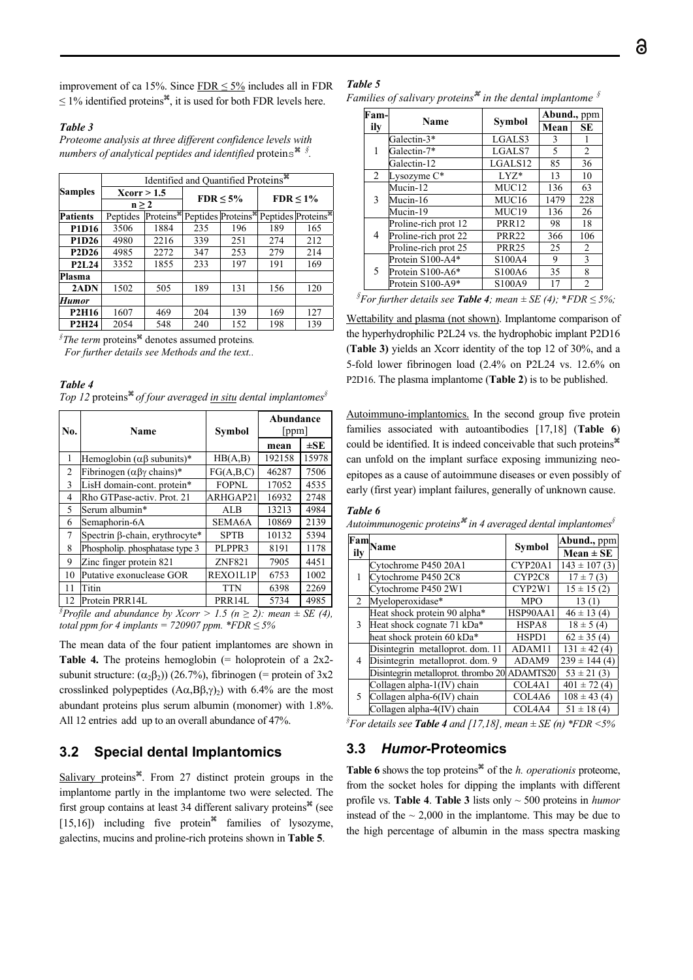improvement of ca 15%. Since  $FDR \le 5\%$  includes all in FDR  $\leq$  1% identified proteins<sup>36</sup>, it is used for both FDR levels here.

#### *Table 3*

*Proteome analysis at three different confidence levels with numbers of analytical peptides and identified* proteins *§ .* 

|                                | Identified and Quantified Proteins <sup>36</sup> |                        |     |                                 |     |                                |  |
|--------------------------------|--------------------------------------------------|------------------------|-----|---------------------------------|-----|--------------------------------|--|
| <b>Samples</b>                 | Xcorr > 1.5<br>$n \geq 2$                        |                        |     |                                 |     |                                |  |
|                                |                                                  |                        |     | $FDR \leq 5\%$                  |     | $FDR < 1\%$                    |  |
| <b>Patients</b>                | Peptides                                         | Proteins <sup>36</sup> |     | Peptides Proteins <sup>36</sup> |     | Peptides Proteins <sup>*</sup> |  |
| P1D16                          | 3506                                             | 1884                   | 235 | 196                             | 189 | 165                            |  |
| P1D26                          | 4980                                             | 2216                   | 339 | 251                             | 274 | 212                            |  |
| P2D26                          | 4985                                             | 2272                   | 347 | 253                             | 279 | 214                            |  |
| P <sub>2</sub> L <sub>24</sub> | 3352                                             | 1855                   | 233 | 197                             | 191 | 169                            |  |
| <b>Plasma</b>                  |                                                  |                        |     |                                 |     |                                |  |
| 2ADN                           | 1502                                             | 505                    | 189 | 131                             | 156 | 120                            |  |
| <b>Humor</b>                   |                                                  |                        |     |                                 |     |                                |  |
| <b>P2H16</b>                   | 1607                                             | 469                    | 204 | 139                             | 169 | 127                            |  |
| <b>P2H24</b>                   | 2054                                             | 548                    | 240 | 152                             | 198 | 139                            |  |

*§The term* proteins<sup>\*</sup> denotes assumed proteins.

 *For further details see Methods and the text..* 

| Table 4 |                                                                                       |  |  |  |
|---------|---------------------------------------------------------------------------------------|--|--|--|
|         | Top 12 proteins <sup>#</sup> of four averaged in situ dental implantomes <sup>§</sup> |  |  |  |

| No. | Name                                      | Symbol        | Abundance<br>[ppm] |          |
|-----|-------------------------------------------|---------------|--------------------|----------|
|     |                                           |               | mean               | $\pm$ SE |
| 1   | Hemoglobin $(\alpha\beta$ subunits)*      | HB(A,B)       | 192158             | 15978    |
| 2   | Fibrinogen ( $\alpha\beta\gamma$ chains)* | FG(A,B,C)     | 46287              | 7506     |
| 3   | LisH domain-cont. protein*                | FOPNL         | 17052              | 4535     |
| 4   | Rho GTPase-activ. Prot. 21                | ARHGAP21      | 16932              | 2748     |
| 5   | Serum albumin*                            | ALB           | 13213              | 4984     |
| 6   | Semaphorin-6A                             | <b>SEMA6A</b> | 10869              | 2139     |
| 7   | Spectrin β-chain, erythrocyte*            | <b>SPTB</b>   | 10132              | 5394     |
| 8   | Phospholip. phosphatase type 3            | PLPPR3        | 8191               | 1178     |
| 9   | Zinc finger protein 821                   | <b>ZNF821</b> | 7905               | 4451     |
| 10  | Putative exonuclease GOR                  | REXO1L1P      | 6753               | 1002     |
| 11  | Titin                                     | <b>TTN</b>    | 6398               | 2269     |
| 12  | Protein PRR14L                            | PRR14L        | 5734               | 4985     |

*§*Profile and abundance by Xcorr > 1.5 (n ≥ 2): mean  $\pm$  SE (4), *total ppm for 4 implants = 720907 ppm. \*FDR*  $\leq$  *5%* 

The mean data of the four patient implantomes are shown in **Table 4.** The proteins hemoglobin (= holoprotein of a 2x2subunit structure:  $(\alpha_2\beta_2)$  (26.7%), fibrinogen (= protein of 3x2 crosslinked polypeptides  $(A\alpha, B\beta, \gamma)_2$ ) with 6.4% are the most abundant proteins plus serum albumin (monomer) with 1.8%. All 12 entries add up to an overall abundance of 47%.

# **3.2 Special dental Implantomics**

Salivary proteins $^*$ . From 27 distinct protein groups in the implantome partly in the implantome two were selected. The first group contains at least 34 different salivary proteins $*$  (see [15,16]) including five protein<sup> $*$ </sup> families of lysozyme, galectins, mucins and proline-rich proteins shown in **Table 5**.

*Families of salivary proteins*<sup> $\mathscr$ </sup> *in the dental implantome*  $\delta$ 

| Fam-           | Name                 |                   | Abund., ppm   |     |  |
|----------------|----------------------|-------------------|---------------|-----|--|
| ilv            |                      | <b>Symbol</b>     | Mean          | SЕ  |  |
|                | Galectin-3*          | LGALS3            | $\mathcal{R}$ | 1   |  |
| 1              | Galectin-7*          | LGALS7            | 5             | 2   |  |
|                | Galectin-12          | LGALS12           | 85            | 36  |  |
| $\overline{2}$ | Lysozyme C*          | $LYZ^*$           | 13            | 10  |  |
|                | Mucin-12             | MUC <sub>12</sub> | 136           | 63  |  |
| 3              | Mucin-16             | MUC16             | 1479          | 228 |  |
|                | Mucin-19             | MUC19             | 136           | 26  |  |
|                | Proline-rich prot 12 | <b>PRR12</b>      | 98            | 18  |  |
| 4              | Proline-rich prot 22 | <b>PRR22</b>      | 366           | 106 |  |
|                | Proline-rich prot 25 | <b>PRR25</b>      | 25            | 2   |  |
| 5              | Protein S100-A4*     | S100A4            | 9             | 3   |  |
|                | Protein S100-A6*     | S100A6            | 35            | 8   |  |
|                | Protein S100-A9*     | S100A9            | 17            | 2   |  |

| <sup>§</sup> For further details see <b>Table 4</b> ; mean $\pm$ SE (4); *FDR $\leq$ 5%; |  |  |  |
|------------------------------------------------------------------------------------------|--|--|--|
|                                                                                          |  |  |  |

Wettability and plasma (not shown). Implantome comparison of the hyperhydrophilic P2L24 vs. the hydrophobic implant P2D16 (**Table 3)** yields an Xcorr identity of the top 12 of 30%, and a 5-fold lower fibrinogen load (2.4% on P2L24 vs. 12.6% on P2D16. The plasma implantome (**Table 2**) is to be published.

Autoimmuno-implantomics. In the second group five protein families associated with autoantibodies [17,18] (**Table 6**) could be identified. It is indeed conceivable that such proteins can unfold on the implant surface exposing immunizing neoepitopes as a cause of autoimmune diseases or even possibly of early (first year) implant failures, generally of unknown cause.

#### *Table 6*

*Autoimmunogenic proteins in 4 averaged dental implantomes§*

| ily            | Fam <sub>Name</sub>                          | Symbol                          | Abund., ppm<br>$Mean \pm SE$ |
|----------------|----------------------------------------------|---------------------------------|------------------------------|
|                | Cytochrome P450 20A1                         | CYP20A1                         | $143 \pm 107$ (3)            |
| 1              | Cytochrome P450 2C8                          | CYP2C8                          | $17 \pm 7(3)$                |
|                | Cytochrome P450 2W1                          | CYP2W1                          | $15 \pm 15(2)$               |
| $\overline{2}$ | Myeloperoxidase*                             | <b>MPO</b>                      | 13(1)                        |
|                | Heat shock protein 90 alpha*                 | HSP90AA1                        | $46 \pm 13(4)$               |
| 3              | Heat shock cognate 71 kDa*                   | HSPA8                           | $18 \pm 5(4)$                |
|                | heat shock protein 60 kDa*                   | HSPD1                           | $62 \pm 35(4)$               |
|                | Disintegrin metalloprot. dom. 11             | ADAM11                          | $131 \pm 42(4)$              |
| 4              | Disintegrin metalloprot. dom. 9              | ADAM9                           | $239 \pm 144(4)$             |
|                | Disintegrin metalloprot. thrombo 20 ADAMTS20 |                                 | $53 \pm 21$ (3)              |
|                | Collagen alpha-1(IV) chain                   | COL <sub>4</sub> A <sub>1</sub> | $401 \pm 72$ (4)             |
| 5.             | Collagen alpha-6(IV) chain                   | COL4A6                          | $108 \pm 43(4)$              |
|                | Collagen alpha-4(IV) chain                   | COL4A4                          | $51 \pm 18(4)$               |

#### *§ For details see Table 4 and [17,18], mean ± SE (n) \*FDR <5%*

# **3.3** *Humor***-Proteomics**

**Table 6** shows the top proteins $*$  of the *h. operationis* proteome, from the socket holes for dipping the implants with different profile vs. **Table 4**. **Table 3** lists only ~ 500 proteins in *humor* instead of the  $\sim 2,000$  in the implantome. This may be due to the high percentage of albumin in the mass spectra masking